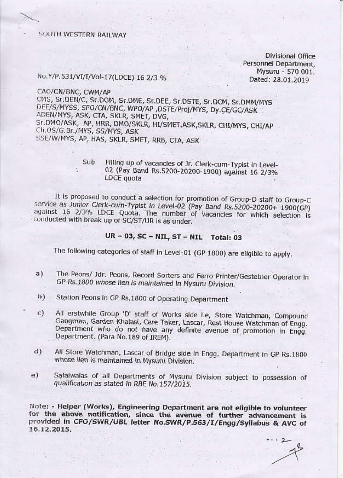SOUTH WESTERN RAILWAY

**Divisional Office** Personnel Department, Mysuru - 570 001. Dated: 28.01.2019

## No.Y/P.531/VI/I/Vol-17(LDCE) 16 2/3 %

CAO/CN/BNC, CWM/AP CMS, Sr.DEN/C, Sr.DOM, Sr.DME, Sr.DEE, Sr.DSTE, Sr.DCM, Sr.DMM/MYS DEE/S/MYSS, SPO/CN/BNC, WPO/AP ,DSTE/Proj/MYS, Dy.CE/GC/ASK ADEN/MYS, ASK, CTA, SKLR, SMET, DVG. Sr.DMO/ASK, AP, HRR, DMO/SKLR, HI/SMET, ASK, SKLR, CHI/MYS, CHI/AP Ch.OS/G.Br./MYS, SS/MYS, ASK SSE/W/MYS, AP, HAS, SKLR, SMET, RRB, CTA, ASK

Sub

Filling up of vacancies of Jr. Clerk-cum-Typist in Level-02 (Pay Band Rs.5200-20200-1900) against 16 2/3% LDCE quota

It is proposed to conduct a selection for promotion of Group-D staff to Group-C service as Junior Clerk-cum-Typist in Level-02 (Pay Band Rs.5200-20200+ 1900(GP) against 16 2/3% LDCE Quota. The number of vacancies for which selection is conducted with break up of SC/ST/UR is as under.

## UR - 03, SC - NIL, ST - NIL Total: 03

The following categories of staff in Level-01 (GP 1800) are eligible to apply.

- The Peons/ Jdr. Peons, Record Sorters and Ferro Printer/Gestetner Operator in a) GP Rs.1800 whose lien is maintained in Mysuru Division.
- Station Peons in GP Rs.1800 of Operating Department  $\mathbf{b}$ ).
- All erstwhile Group 'D' staff of Works side i.e, Store Watchman, Compound  $\mathbb{C}$ Gangman, Garden Khalasi, Care Taker, Lascar, Rest House Watchman of Engg. Department who do not have any definite avenue of promotion in Engg. Department. (Para No.189 of IREM).
- All Store Watchman, Lascar of Bridge side in Engg. Department in GP Rs.1800 d) whose lien is maintained in Mysuru Division.
- Safaiwalas of all Departments of Mysuru Division subject to possession of  $\oplus$ qualification as stated in RBE No.157/2015.

Note: - Helper (Works), Engineering Department are not eligible to volunteer for the above notification, since the avenue of further advancement is provided in CPO/SWR/UBL letter No.SWR/P.563/I/Engg/Syllabus & AVC of 16.12.2015.

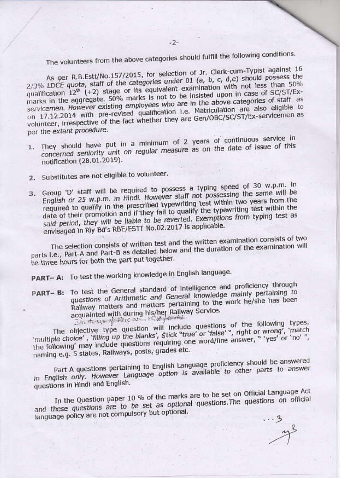The volunteers from the above categories should fulfill the following conditions.

As per R.B.Estt/No.157/2015, for selection of Jr. Clerk-cum-Typist against 16 2/3% LDCE quota, staff of the categories under 01 (a, b, c, d,e) should possess the qualification  $12^{th}$  (+2) stage or its equivalent examination with not less than 50% marks in the aggregate. 50% marks is not to be insisted upon in case of SC/ST/Exservicemen. However existing employees who are in the above categories of staff as on 17.12.2014 with pre-revised qualification i.e. Matriculation are also eligible to volunteer, irrespective of the fact whether they are Gen/OBC/SC/ST/Ex-servicemen as per the extant procedure.

- 1. They should have put in a minimum of 2 years of continuous service in concerned seniority unit on regular measure as on the date of issue of this notification (28.01.2019).
- 2. Substitutes are not eligible to volunteer.
- 3. Group 'D' staff will be required to possess a typing speed of 30 w.p.m. in English or 25 w.p.m. in Hindi. However staff not possessing the same will be required to qualify in the prescribed typewriting test within two years from the date of their promotion and if they fail to qualify the typewriting test within the said period, they will be liable to be reverted. Exemptions from typing test as envisaged in Riy Bd's RBE/ESTT No.02.2017 is applicable.

The selection consists of written test and the written examination consists of two parts I.e., Part-A and Part-B as detailed below and the duration of the examination will be three hours for both the part put together.

PART- A: To test the working knowledge in English language.

PART- B: To test the General standard of intelligence and proficiency through questions of Arithmetic and General knowledge mainly pertaining to Railway matters and matters pertaining to the work he/she has been acquainted with during his/her Railway Service. United March 1995 No. 16.2 formis

The objective type question will include questions of the following types, 'multiple choice', 'filling up the blanks', Stick "true' or 'false'", right or wrong', 'match the following' may include questions requiring one word/line answer, " 'yes' or 'no' ", naming e.g. 5 states, Railways, posts, grades etc.

Part A questions pertaining to English Language proficiency should be answered in English only. However Language option is available to other parts to answer questions in Hindi and English.

In the Question paper 10 % of the marks are to be set on Official Language Act and these questions are to be set as optional questions. The questions on official language policy are not compulsory but optional.

 $-18$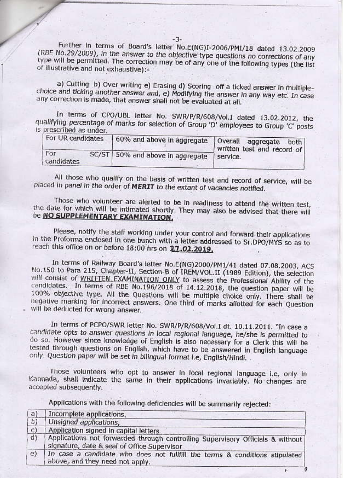Further in terms of Board's letter No.E(NG)I-2006/PMI/18 dated 13.02.2009 (RBE No.29/2009), in the answer to the objective type questions no corrections of any type will be permitted. The correction may be of any one of the following types (the list of illustrative and not exhaustive):-

a) Cutting b) Over writing e) Erasing d) Scoring off a ticked answer in multiplechoice and ticking another answer and, e) Modifying the answer in any way etc. In case any correction is made, that answer shall not be evaluated at all.

In terms of CPO/UBL letter No. SWR/P/R/608/Vol.I dated 13.02.2012, the qualifying percentage of marks for selection of Group 'D' employees to Group 'C' posts is prescribed as under.

| For UR candidates |  | 60% and above in aggregate   Overall aggregate both | written test and record of |
|-------------------|--|-----------------------------------------------------|----------------------------|
| For<br>candidates |  | SC/ST 50% and above in aggregate                    | service.                   |

All those who qualify on the basis of written test and record of service, will be placed in panel in the order of MERIT to the extant of vacancies notified.

Those who volunteer are alerted to be in readiness to attend the written test, the date for which will be intimated shortly. They may also be advised that there will be NO SUPPLEMENTARY EXAMINATION.

Please, notify the staff working under your control and forward their applications in the Proforma enclosed in one bunch with a letter addressed to Sr.DPO/MYS so as to reach this office on or before 18:00 hrs on 27.02.2019.

In terms of Railway Board's letter No.E(NG)2000/PM1/41 dated 07.08.2003, ACS No.150 to Para 215, Chapter-II, Section-B of IREM/VOL.II (1989 Edition), the selection will consist of WRITTEN EXAMINATION ONLY to assess the Professional Ability of the candidates. In terms of RBE No.196/2018 of 14.12.2018, the question paper will be 100% objective type. All the Questions will be multiple choice only. There shall be negative marking for incorrect answers. One third of marks allotted for each Question will be deducted for wrong answer.

In terms of PCPO/SWR letter No. SWR/P/R/608/Vol.I dt. 10.11.2011. "In case a candidate opts to answer questions in local regional language, he/she is permitted to do so. However since knowledge of English is also necessary for a Clerk this will be tested through questions on English, which have to be answered in English language only. Question paper will be set in bilingual format i.e, English/Hindi...

Those volunteers who opt to answer in local regional language i.e, only in Kannada, shall indicate the same in their applications invariably. No changes are accepted subsequently.

Applications with the following deficiencies will be summarily rejected:

| a)           | Incomplete applications,                                                                                                      |
|--------------|-------------------------------------------------------------------------------------------------------------------------------|
| b)           | Unsigned applications,                                                                                                        |
| $\mathbf{C}$ | Application signed in capital letters                                                                                         |
| d            | Applications not forwarded through controlling Supervisory Officials & without<br>signature, date & seal of Office Supervisor |
| e)           | In case a candidate who does not fullfill the terms & conditions stipulated<br>above, and they need not apply.                |
|              |                                                                                                                               |

 $-3-$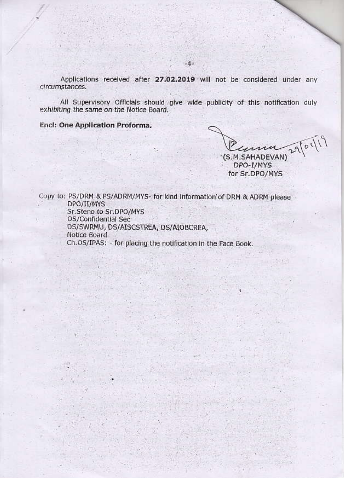Applications received after 27.02.2019 will not be considered under any circumstances.

 $-4-$ 

All Supervisory Officials should give wide publicity of this notification duly exhibiting the same on the Notice Board.

**Encl: One Application Proforma.** 

 $290119$ um '(S.M.SAHADEVAN)

DPO-I/MYS for Sr.DPO/MYS

Copy to: PS/DRM & PS/ADRM/MYS- for kind information of DRM & ADRM please DPO/II/MYS Sr.Steno to Sr.DPO/MYS OS/Confidential Sec DS/SWRMU, DS/AISCSTREA, DS/AIOBCREA, Notice Board Ch.OS/IPAS: - for placing the notification in the Face Book.